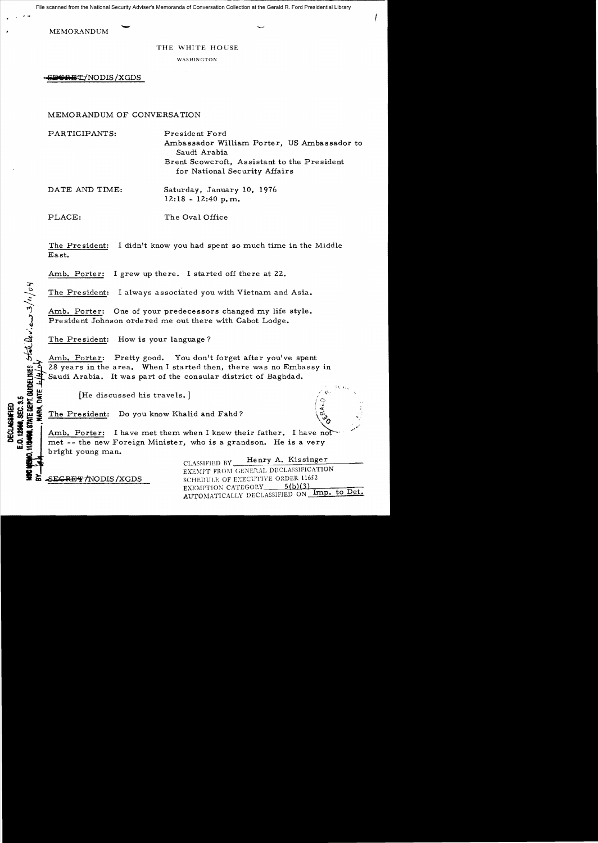File scanned from the National Security Adviser's Memoranda of Conversation Collection at the Gerald R. Ford Presidential Library

**MEMORANDUM** 

#### THE WHITE HOUSE

WASHINGTON

SDCRET/NODIS/XGDS

### MEMORANDUM OF CONVERSATION

PARTICIPANTS: President Ford Ambassador William Porter, US Ambassador to Saudi Arabia Brent Scowcroft, Assistant to the President for National Security Affairs DATE AND TIME: Saturday, January 10, 1976  $12:18 - 12:40$  p.m.

The Oval Office PLACE:

The President: I didn't know you had spent so much time in the Middle East.

Amb. Porter: I grew up there. I started off there at 22.

The President: I always associated you with Vietnam and Asia.

Amb. Porter: One of your predecessors changed my life style. President Johnson ordered me out there with Cabot Lodge.

The President: How is your language?

Amb. Porter: Pretty good. You don't forget after you've spent 28 years in the area. When I started then, there was no Embassy in RA. DATE .*bla* Saudi Arabia. It was part of the consular district of Baghdad.

[He discussed his travels.]

The President: Do you know Khalid and Fahd?

Amb. Porter: I have met them when I knew their father. I have not met -- the new Foreign Minister, who is a grandson. He is a very bright young man.

> Henry A. Kissinger CLASSIFIED BY EXEMPT FROM GENERAL DECLASSIFICATION SCHEDULE OF EXECUTIVE ORDER 11652 EXEMPTION CATEGORY  $5(b)(3)$ AUTOMATICALLY DECLASSIFIED ON Imp. to Det.

SE<del>CRET/N</del>ODIS/XGDS

 $\frac{1}{\sqrt{2}}$  of  $\frac{1}{\sqrt{2}}$  of  $\frac{1}{\sqrt{2}}$  of  $\frac{1}{\sqrt{2}}$  of  $\frac{1}{\sqrt{2}}$  of  $\frac{1}{\sqrt{2}}$  of  $\frac{1}{\sqrt{2}}$ 

E.O. 12968, SEC. **DECLASSIFIED**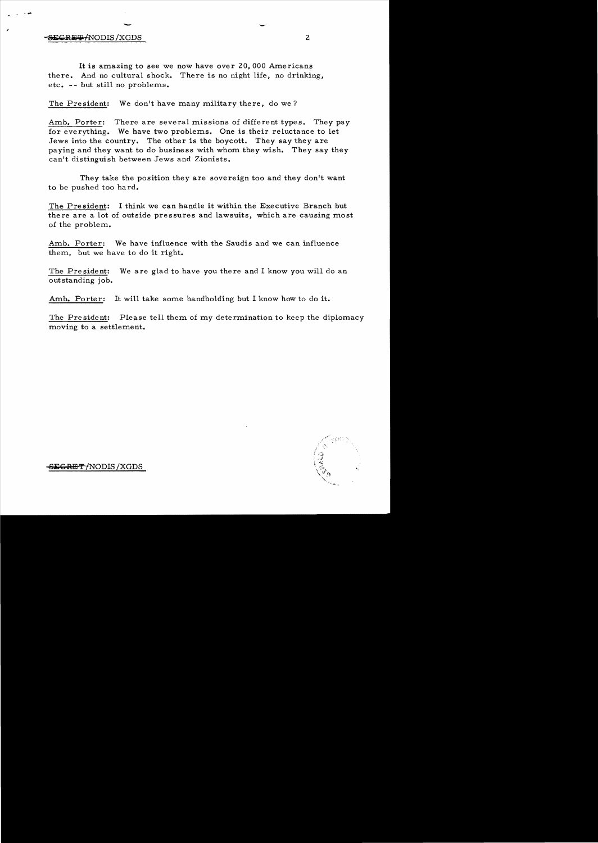# - - · .... **-BLIKE-LINDIS AND AINTIFULITY AND AINTIFULITY CONTRACT AIR ON A 2**

It is amazing to see we now have over 20,000 Americans there. And no cultural shock. There is no night life, no drinking, etc. - - but still no problems.

The President: We don't have many military there, do we?

Amb. Porter: There are several missions of different types. They pay for everything. We have two problems. One is their reluctance to let Jews into the country. The other is the *boycott.* They say they are paying and they want to do business with whom they wish. They say they can't distinguish between Jews and Zionists.

They take the position they are sovereign too and they don't want to be pushed too hard.

The Pre sident: I think we can handle it within the Executive Branch but there are a lot of outside pressures and lawsuits, which are causing most of the problem.

Amb. Porter: We have influence with the Saudis and we can influence them, but we have to do it right.

The President: We are glad to have *you* there and I know you will do an outstanding job.

Amb. Porter: It will take some handholding but I know how to do it.

The President: Please tell them of my determination to keep the diplomacy moving to a settlement.



 $\mathbf{EGRET}$  *f*NODIS /XGDS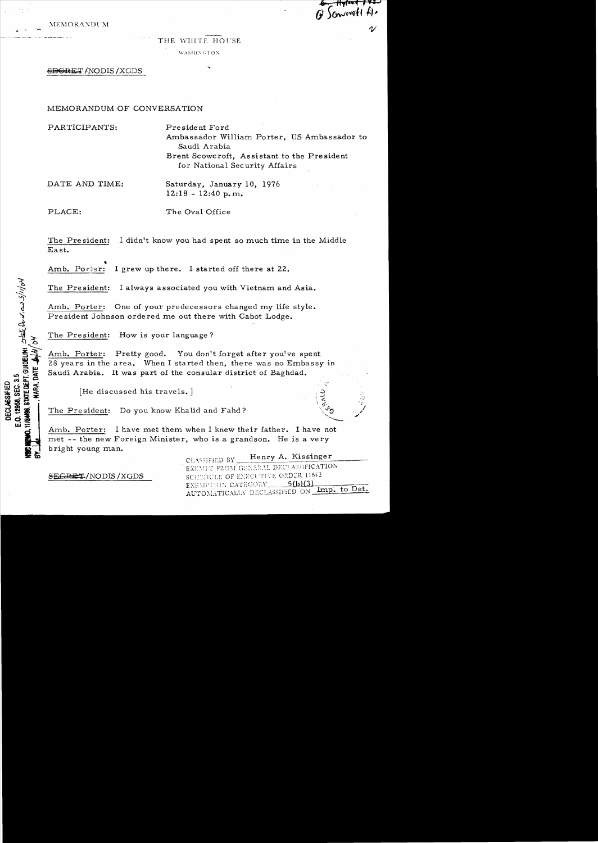**MEMORANDUM** 

## THE WHITE HOUSE

WASHINGTON

## <del>SECRET</del>/NODIS/XGDS

## MEMORANDUM OF CONVERSATION

PARTICIPANTS:

President Ford Ambassador William Porter. US Ambassador to Saudi Arabia Brent Scowcroft. Assistant to the President for National Security Affairs

Sommett file

DATE AND TIME:

Saturday, January 10, 1976  $12:18 - 12:40 p.m.$ 

PLACE:

**HIR488, STATE DEPT. GUIDELINI:** STATE De v. eu 3/1/0M

E.O. 12958, SEC. 3.5 **DECLASSIFIED** 

The Oval Office

I didn't know you had spent so much time in the Middle The President: East.

I grew up there. I started off there at 22. Amb. Porter:

The President: I always associated you with Vietnam and Asia.

Amb. Porter: One of your predecessors changed my life style. President Johnson ordered me out there with Cabot Lodge.

How is your language? The President:

Amb. Porter: Pretty good. You don't forget after you've spent 28 years in the area. When I started then, there was no Embassy in Saudi Arabia. It was part of the consular district of Baghdad.

[He discussed his travels.]

The President: Do you know Khalid and Fahd?

Amb. Porter: I have met them when I knew their father. I have not met -- the new Foreign Minister, who is a grandson. He is a very bright young man.

SEGRET/NODIS/XGDS

Henry A. Kissinger CLASSIFIED BY EXEMPT FROM GENERAL DECLASSIFICATION SCHEDULE OF EXECUTIVE ORDER 11652 EXEMPTION CATEGORY 5(b)(3) AUTOMATICALLY DECLASSIFIED ON Imp. to Det.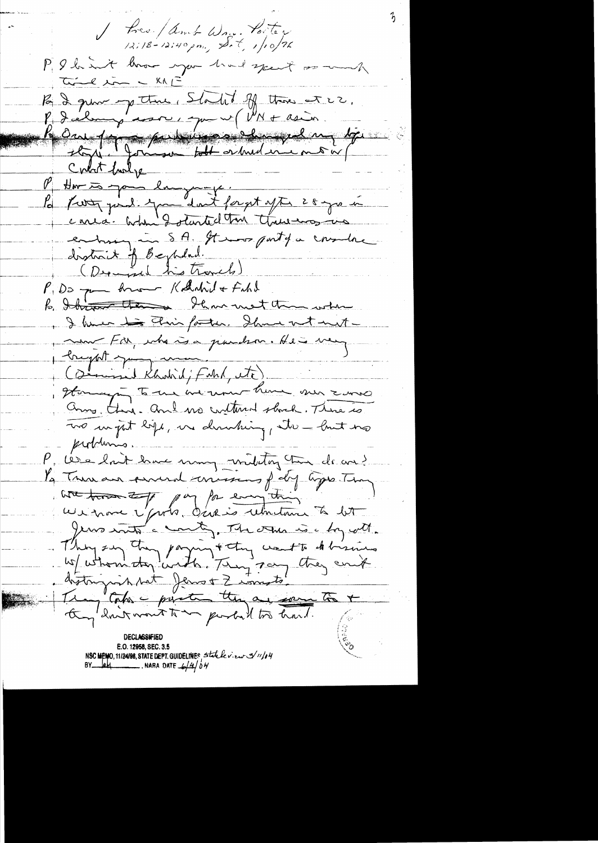Bree / Amb Wan. Porter PIS hart have you had spent or work Time in - KAL Par 2 pour up there , Started off there are 2. P. deling sorr, que v (VN + asia Contact funly P Har to you language. la fresta pard. You dont forget after 28 gro me conca. When I started the three was in endingun SA. It was party a countre (Depend his travels) P. Do pa home Kolutiv + Filed Ihave met the when  $k$ , Ithraware then I have to This forthe. Show not not now For, who is a pandron. He is very - longhet young (simind Kholid; Fahl, etc). Homany to the we won't have no zone anne this. and we contained shock. There is To un joit lige, une dernburg, etc - lout no purblimes. P, les elait have name militar tur de con? Pa Trunan sured concessions foly types Than wat town to pay for enough ce vi moise l'probo dévenis retoutant à bit Jeux mots a county. The other is a by with. Things on they paying + they want to de bring ECUMBISIFIL E.O. 12958, SEC. 3.5 NSC MEMO, 11/24/98, STATE DEPT. GUIDELINES, Statele view 3/11/04 NARA DATE  $\frac{1}{2}$  0 M